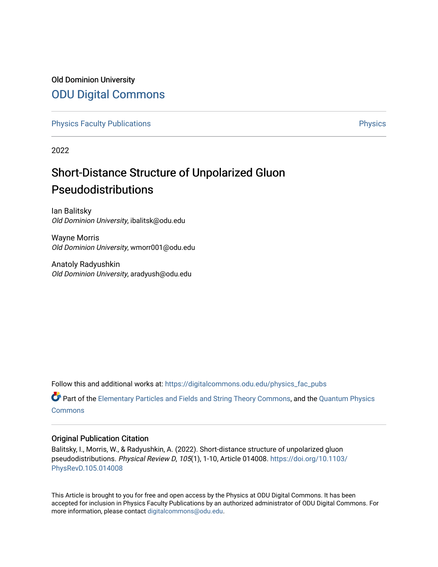## Old Dominion University [ODU Digital Commons](https://digitalcommons.odu.edu/)

[Physics Faculty Publications](https://digitalcommons.odu.edu/physics_fac_pubs) **Physics** [Physics](https://digitalcommons.odu.edu/physics) Physics

2022

# Short-Distance Structure of Unpolarized Gluon Pseudodistributions

Ian Balitsky Old Dominion University, ibalitsk@odu.edu

Wayne Morris Old Dominion University, wmorr001@odu.edu

Anatoly Radyushkin Old Dominion University, aradyush@odu.edu

Follow this and additional works at: [https://digitalcommons.odu.edu/physics\\_fac\\_pubs](https://digitalcommons.odu.edu/physics_fac_pubs?utm_source=digitalcommons.odu.edu%2Fphysics_fac_pubs%2F568&utm_medium=PDF&utm_campaign=PDFCoverPages) 

Part of the [Elementary Particles and Fields and String Theory Commons](http://network.bepress.com/hgg/discipline/199?utm_source=digitalcommons.odu.edu%2Fphysics_fac_pubs%2F568&utm_medium=PDF&utm_campaign=PDFCoverPages), and the [Quantum Physics](http://network.bepress.com/hgg/discipline/206?utm_source=digitalcommons.odu.edu%2Fphysics_fac_pubs%2F568&utm_medium=PDF&utm_campaign=PDFCoverPages) [Commons](http://network.bepress.com/hgg/discipline/206?utm_source=digitalcommons.odu.edu%2Fphysics_fac_pubs%2F568&utm_medium=PDF&utm_campaign=PDFCoverPages)

## Original Publication Citation

Balitsky, I., Morris, W., & Radyushkin, A. (2022). Short-distance structure of unpolarized gluon pseudodistributions. Physical Review D, 105(1), 1-10, Article 014008. [https://doi.org/10.1103/](https://doi.org/10.1103/PhysRevD.105.014008) [PhysRevD.105.014008](https://doi.org/10.1103/PhysRevD.105.014008) 

This Article is brought to you for free and open access by the Physics at ODU Digital Commons. It has been accepted for inclusion in Physics Faculty Publications by an authorized administrator of ODU Digital Commons. For more information, please contact [digitalcommons@odu.edu.](mailto:digitalcommons@odu.edu)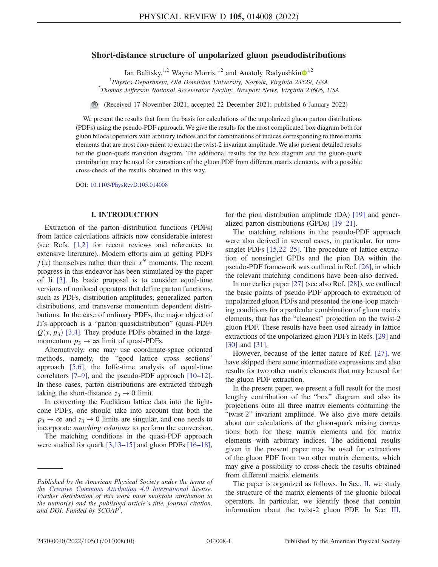## Short-distance structure of unpolarized gluon pseudodistributions

Ian Balitsky,<sup>[1](https://orcid.org/0000-0002-9326-1300),2</sup> Wayne Morris,<sup>1,2</sup> and Anatoly Radyushkin<sup> $\odot$ 1,2</sup>

<sup>1</sup>Physics Department, Old Dominion University, Norfolk, Virginia 23529, USA<br><sup>2</sup>Thomas Jefferson National Asselanten Essility, Neumert Neus, Vineinia 22606  $^{2}$ Thomas Jefferson National Accelerator Facility, Newport News, Virginia 23606, USA

(Received 17 November 2021; accepted 22 December 2021; published 6 January 2022)

We present the results that form the basis for calculations of the unpolarized gluon parton distributions (PDFs) using the pseudo-PDF approach. We give the results for the most complicated box diagram both for gluon bilocal operators with arbitrary indices and for combinations of indices corresponding to three matrix elements that are most convenient to extract the twist-2 invariant amplitude. We also present detailed results for the gluon-quark transition diagram. The additional results for the box diagram and the gluon-quark contribution may be used for extractions of the gluon PDF from different matrix elements, with a possible cross-check of the results obtained in this way.

DOI: [10.1103/PhysRevD.105.014008](https://doi.org/10.1103/PhysRevD.105.014008)

## I. INTRODUCTION

Extraction of the parton distribution functions (PDFs) from lattice calculations attracts now considerable interest (see Refs. [[1](#page-10-0),[2\]](#page-10-1) for recent reviews and references to extensive literature). Modern efforts aim at getting PDFs  $f(x)$  themselves rather than their  $x^N$  moments. The recent progress in this endeavor has been stimulated by the paper of Ji [[3](#page-10-2)]. Its basic proposal is to consider equal-time versions of nonlocal operators that define parton functions, such as PDFs, distribution amplitudes, generalized parton distributions, and transverse momentum dependent distributions. In the case of ordinary PDFs, the major object of Ji's approach is a "parton quasidistribution" (quasi-PDF)  $Q(y, p_3)$  [\[3](#page-10-2)[,4\]](#page-10-3). They produce PDFs obtained in the largemomentum  $p_3 \rightarrow \infty$  limit of quasi-PDFs.

Alternatively, one may use coordinate-space oriented methods, namely, the "good lattice cross sections" approach [[5](#page-10-4),[6\]](#page-10-5), the Ioffe-time analysis of equal-time correlators [\[7](#page-10-6)–[9\]](#page-10-7), and the pseudo-PDF approach [[10](#page-10-8)–[12](#page-10-9)]. In these cases, parton distributions are extracted through taking the short-distance  $z_3 \rightarrow 0$  limit.

In converting the Euclidean lattice data into the lightcone PDFs, one should take into account that both the  $p_3 \rightarrow \infty$  and  $z_3 \rightarrow 0$  limits are singular, and one needs to incorporate matching relations to perform the conversion.

The matching conditions in the quasi-PDF approach were studied for quark [[3](#page-10-2)[,13](#page-10-10)–[15\]](#page-10-11) and gluon PDFs [[16](#page-10-12)–[18](#page-10-13)], for the pion distribution amplitude (DA) [[19](#page-10-14)] and generalized parton distributions (GPDs) [[19](#page-10-14)–[21\]](#page-10-15).

The matching relations in the pseudo-PDF approach were also derived in several cases, in particular, for nonsinglet PDFs [\[15,](#page-10-11)[22](#page-10-16)–[25\]](#page-10-17). The procedure of lattice extraction of nonsinglet GPDs and the pion DA within the pseudo-PDF framework was outlined in Ref. [\[26\]](#page-10-18), in which the relevant matching conditions have been also derived.

In our earlier paper [[27](#page-10-19)] (see also Ref. [[28](#page-10-20)]), we outlined the basic points of pseudo-PDF approach to extraction of unpolarized gluon PDFs and presented the one-loop matching conditions for a particular combination of gluon matrix elements, that has the "cleanest" projection on the twist-2 gluon PDF. These results have been used already in lattice extractions of the unpolarized gluon PDFs in Refs. [[29](#page-10-21)] and [\[30\]](#page-10-22) and [\[31\]](#page-10-23).

However, because of the letter nature of Ref. [\[27\]](#page-10-19), we have skipped there some intermediate expressions and also results for two other matrix elements that may be used for the gluon PDF extraction.

In the present paper, we present a full result for the most lengthy contribution of the "box" diagram and also its projections onto all three matrix elements containing the "twist-2" invariant amplitude. We also give more details about our calculations of the gluon-quark mixing corrections both for these matrix elements and for matrix elements with arbitrary indices. The additional results given in the present paper may be used for extractions of the gluon PDF from two other matrix elements, which may give a possibility to cross-check the results obtained from different matrix elements.

The paper is organized as follows. In Sec. [II,](#page-2-0) we study the structure of the matrix elements of the gluonic bilocal operators. In particular, we identify those that contain information about the twist-2 gluon PDF. In Sec. [III](#page-3-0),

Published by the American Physical Society under the terms of the [Creative Commons Attribution 4.0 International](https://creativecommons.org/licenses/by/4.0/) license. Further distribution of this work must maintain attribution to the author(s) and the published article's title, journal citation, and DOI. Funded by SCOAP<sup>3</sup>.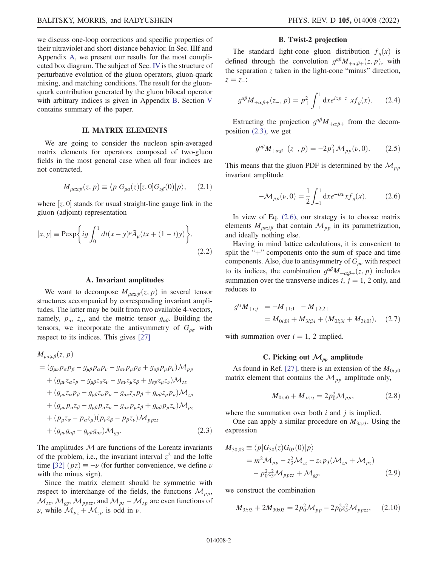we discuss one-loop corrections and specific properties of their ultraviolet and short-distance behavior. In Sec. IIIf and Appendix [A](#page-9-0), we present our results for the most complicated box diagram. The subject of Sec. [IV](#page-6-0) is the structure of perturbative evolution of the gluon operators, gluon-quark mixing, and matching conditions. The result for the gluonquark contribution generated by the gluon bilocal operator with arbitrary indices is given in Appendix [B](#page-9-1). Section [V](#page-8-0) contains summary of the paper.

## II. MATRIX ELEMENTS

<span id="page-2-0"></span>We are going to consider the nucleon spin-averaged matrix elements for operators composed of two-gluon fields in the most general case when all four indices are not contracted,

$$
M_{\mu\alpha;\nu\beta}(z,p) \equiv \langle p|G_{\mu\alpha}(z)[z,0]G_{\nu\beta}(0)|p\rangle, \quad (2.1)
$$

where  $[z, 0]$  stands for usual straight-line gauge link in the gluon (adjoint) representation gluon (adjoint) representation

$$
[x, y] \equiv \text{Pexp}\bigg\{ig \int_0^1 dt (x - y)^{\mu} \tilde{A}_{\mu}(tx + (1 - t)y)\bigg\}.
$$
\n(2.2)

#### A. Invariant amplitudes

We want to decompose  $M_{\mu\alpha;\mu\beta}(z, p)$  in several tensor structures accompanied by corresponding invariant amplitudes. The latter may be built from two available 4-vectors, namely,  $p_{\alpha}$ ,  $z_{\alpha}$ , and the metric tensor  $g_{\alpha\beta}$ . Building the tensors, we incorporate the antisymmetry of  $G_{\rho\sigma}$  with respect to its indices. This gives [[27](#page-10-19)]

<span id="page-2-1"></span>
$$
M_{\mu\alpha;\nu\beta}(z, p)
$$
  
=  $(g_{\mu\nu}p_{\alpha}p_{\beta} - g_{\mu\beta}p_{\alpha}p_{\nu} - g_{\alpha\nu}p_{\mu}p_{\beta} + g_{\alpha\beta}p_{\mu}p_{\nu})\mathcal{M}_{pp}$   
+  $(g_{\mu\nu}z_{\alpha}z_{\beta} - g_{\mu\beta}z_{\alpha}z_{\nu} - g_{\alpha\alpha}z_{\mu}z_{\beta} + g_{\alpha\beta}z_{\mu}z_{\nu})\mathcal{M}_{zz}$   
+  $(g_{\mu\nu}z_{\alpha}p_{\beta} - g_{\mu\beta}z_{\alpha}p_{\nu} - g_{\alpha\nu}z_{\mu}p_{\beta} + g_{\alpha\beta}z_{\mu}p_{\nu})\mathcal{M}_{zp}$   
+  $(g_{\mu\nu}p_{\alpha}z_{\beta} - g_{\mu\beta}p_{\alpha}z_{\nu} - g_{\alpha\nu}p_{\mu}z_{\beta} + g_{\alpha\beta}p_{\mu}z_{\nu})\mathcal{M}_{pz}$   
+  $(p_{\mu}z_{\alpha} - p_{\alpha}z_{\mu})(p_{\nu}z_{\beta} - p_{\beta}z_{\nu})\mathcal{M}_{ppzz}$   
+  $(g_{\mu\nu}g_{\alpha\beta} - g_{\mu\beta}g_{\alpha\nu})\mathcal{M}_{gg}.$  (2.3)

The amplitudes  $M$  are functions of the Lorentz invariants of the problem, i.e., the invariant interval  $z^2$  and the Ioffe time [[32](#page-10-24)]  $(pz) \equiv -\nu$  (for further convenience, we define  $\nu$ with the minus sign).

Since the matrix element should be symmetric with respect to interchange of the fields, the functions  $\mathcal{M}_{pp}$ ,  $\mathcal{M}_{zz}$ ,  $\mathcal{M}_{gg}$ ,  $\mathcal{M}_{ppzz}$ , and  $\mathcal{M}_{pz}$  –  $\mathcal{M}_{zp}$  are even functions of *ν*, while  $\mathcal{M}_{pz} + \mathcal{M}_{zp}$  is odd in *ν*.

## B. Twist-2 projection

The standard light-cone gluon distribution  $f_q(x)$  is defined through the convolution  $g^{\alpha\beta}M_{+\alpha;\beta+}(z, p)$ , with the separation  $z$  taken in the light-cone "minus" direction,  $z = z$ .:

$$
g^{\alpha\beta}M_{+\alpha;\beta+}(z_-,p) = p_+^2 \int_{-1}^1 dx e^{ixp_+z_-} x f_g(x). \tag{2.4}
$$

Extracting the projection  $g^{\alpha\beta}M_{+\alpha;\beta+}$  from the decomposition [\(2.3\)](#page-2-1), we get

$$
g^{\alpha\beta}M_{+\alpha;\beta+}(z_-,p) = -2p_+^2 \mathcal{M}_{pp}(\nu,0). \tag{2.5}
$$

<span id="page-2-2"></span>This means that the gluon PDF is determined by the  $\mathcal{M}_{pp}$ invariant amplitude

$$
-\mathcal{M}_{pp}(\nu,0) = \frac{1}{2} \int_{-1}^{1} \mathrm{d}x e^{-ix\nu} x f_g(x). \tag{2.6}
$$

In view of Eq. [\(2.6\),](#page-2-2) our strategy is to choose matrix elements  $M_{\mu\alpha;\lambda\beta}$  that contain  $\mathcal{M}_{pp}$  in its parametrization, and ideally nothing else.

Having in mind lattice calculations, it is convenient to split the "+" components onto the sum of space and time components. Also, due to antisymmetry of  $G_{\rho\sigma}$  with respect to its indices, the combination  $g^{\alpha\beta}M_{+\alpha;\beta+}(z, p)$  includes summation over the transverse indices i,  $j = 1, 2$  only, and reduces to

<span id="page-2-3"></span>
$$
g^{ij}M_{+i;j+} = -M_{+1;1+} - M_{+2;2+}
$$
  
=  $M_{0i;0i} + M_{3i;3i} + (M_{0i;3i} + M_{3i;0i}),$  (2.7)

with summation over  $i = 1, 2$  implied.

#### C. Picking out  $\mathcal{M}_{pp}$  amplitude

<span id="page-2-4"></span>As found in Ref. [[27](#page-10-19)], there is an extension of the  $M_{0i:i0}$ matrix element that contains the  $\mathcal{M}_{pp}$  amplitude only,

$$
M_{0i;i0} + M_{ji;ij} = 2p_0^2 \mathcal{M}_{pp}, \qquad (2.8)
$$

where the summation over both  $i$  and  $j$  is implied.

One can apply a similar procedure on  $M_{3i; i3}$ . Using the expression

$$
M_{30;03} \equiv \langle p|G_{30}(z)G_{03}(0)|p\rangle
$$
  
=  $m^2 M_{pp} - z_3^2 M_{zz} - z_3 p_3 (M_{zp} + M_{pz})$   
-  $p_0^2 z_3^2 M_{ppzz} + M_{gg}$ , (2.9)

<span id="page-2-5"></span>we construct the combination

$$
M_{3i;3} + 2M_{30;03} = 2p_0^2 \mathcal{M}_{pp} - 2p_0^2 z_3^2 \mathcal{M}_{ppzz}, \quad (2.10)
$$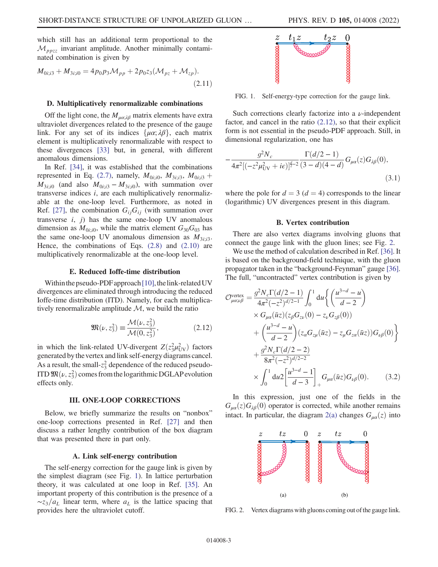<span id="page-3-4"></span>which still has an additional term proportional to the  $\mathcal{M}_{ppzz}$  invariant amplitude. Another minimally contaminated combination is given by

$$
M_{0i;i3} + M_{3i;i0} = 4p_0 p_3 M_{pp} + 2p_0 z_3 (M_{pz} + M_{zp}).
$$
\n(2.11)

#### D. Multiplicatively renormalizable combinations

Off the light cone, the  $M_{\mu\alpha;\lambda\beta}$  matrix elements have extra ultraviolet divergences related to the presence of the gauge link. For any set of its indices  $\{\mu\alpha; \lambda\beta\}$ , each matrix element is multiplicatively renormalizable with respect to these divergences [\[33\]](#page-10-25) but, in general, with different anomalous dimensions.

In Ref. [\[34\]](#page-10-26), it was established that the combinations represented in Eq. [\(2.7\),](#page-2-3) namely,  $M_{0i; i0}$ ,  $M_{3i; i3}$ ,  $M_{0i; i3}$  +  $M_{3i;i0}$  (and also  $M_{0i;i3} - M_{3i;i0}$ ), with summation over transverse indices  $i$ , are each multiplicatively renormalizable at the one-loop level. Furthermore, as noted in Ref. [\[27\]](#page-10-19), the combination  $G_{ij}G_{ij}$  (with summation over transverse  $i$ ,  $j$ ) has the same one-loop UV anomalous dimension as  $M_{0i; i0}$ , while the matrix element  $G_{30}G_{03}$  has the same one-loop UV anomalous dimension as  $M_{3i,i3}$ . Hence, the combinations of Eqs.  $(2.8)$  and  $(2.10)$  are multiplicatively renormalizable at the one-loop level.

#### E. Reduced Ioffe-time distribution

<span id="page-3-2"></span>Within the pseudo-PDF approach  $[10]$  $[10]$  $[10]$ , the link-related UV divergences are eliminated through introducing the reduced Ioffe-time distribution (ITD). Namely, for each multiplicatively renormalizable amplitude  $M$ , we build the ratio

$$
\mathfrak{M}(\nu, z_3^2) \equiv \frac{\mathcal{M}(\nu, z_3^2)}{\mathcal{M}(0, z_3^2)},
$$
 (2.12)

in which the link-related UV-divergent  $Z(z_3^2 \mu_{\text{UV}}^2)$  factors<br>generated by the vertex and link self-energy diagrams cancel generated bythe vertex andlink self-energy diagrams cancel. As a result, the small- $z_3^2$  dependence of the reduced pseudo-ITD  $\mathfrak{M}(\nu, z_3^2)$  comes from the logarithmic DGLAP evolution<br>effects only effects only.

#### III. ONE-LOOP CORRECTIONS

<span id="page-3-0"></span>Below, we briefly summarize the results on "nonbox" one-loop corrections presented in Ref. [[27](#page-10-19)] and then discuss a rather lengthy contribution of the box diagram that was presented there in part only.

#### A. Link self-energy contribution

The self-energy correction for the gauge link is given by the simplest diagram (see Fig. [1](#page-3-1)). In lattice perturbation theory, it was calculated at one loop in Ref. [\[35\]](#page-10-27). An important property of this contribution is the presence of a  $\sim$ z<sub>3</sub>/a<sub>L</sub> linear term, where a<sub>L</sub> is the lattice spacing that provides here the ultraviolet cutoff.

<span id="page-3-1"></span>

FIG. 1. Self-energy-type correction for the gauge link.

Such corrections clearly factorize into a  $\nu$ -independent factor, and cancel in the ratio [\(2.12\),](#page-3-2) so that their explicit form is not essential in the pseudo-PDF approach. Still, in dimensional regularization, one has

$$
-\frac{g^2 N_c}{4\pi^2 [(-z^2 \mu_{\text{UV}}^2 + i\epsilon)]^{\frac{d}{2}-2}} \frac{\Gamma(d/2 - 1)}{(3 - d)(4 - d)} G_{\mu\alpha}(z) G_{\lambda\beta}(0),
$$
\n(3.1)

where the pole for  $d = 3$  ( $d = 4$ ) corresponds to the linear (logarithmic) UV divergences present in this diagram.

#### B. Vertex contribution

<span id="page-3-5"></span>There are also vertex diagrams involving gluons that connect the gauge link with the gluon lines; see Fig. [2.](#page-3-3)

We use the method of calculation described in Ref. [[36\]](#page-10-28). It is based on the background-field technique, with the gluon propagator taken in the "background-Feynman" gauge [[36](#page-10-28)]. The full, "uncontracted" vertex contribution is given by

$$
\mathcal{O}^{\text{vertex}}_{\mu\alpha;\nu\beta} = \frac{g^2 N_c \Gamma(d/2 - 1)}{4\pi^2 (-z^2)^{d/2 - 1}} \int_0^1 du \left\{ \left( \frac{u^{3-d} - u}{d - 2} \right) \times G_{\mu\alpha}(\bar{u}z) (z_\beta G_{z\nu}(0) - z_\nu G_{z\beta}(0)) \right. \\ \left. + \left( \frac{u^{3-d} - u}{d - 2} \right) (z_\alpha G_{z\mu}(\bar{u}z) - z_\mu G_{z\alpha}(\bar{u}z)) G_{\nu\beta}(0) \right\} \\ \left. + \frac{g^2 N_c \Gamma(d/2 - 2)}{8\pi^2 (-z^2)^{d/2 - 2}} \times \int_0^1 du^2 \left[ \frac{u^{3-d} - 1}{d - 3} \right]_+ G_{\mu\alpha}(\bar{u}z) G_{\nu\beta}(0). \tag{3.2}
$$

In this expression, just one of the fields in the  $G_{\mu\alpha}(z)G_{\lambda\beta}(0)$  operator is corrected, while another remains intact. In particular, the diagram [2\(a\)](#page-3-3) changes  $G_{\mu\alpha}(z)$  into

<span id="page-3-3"></span>

FIG. 2. Vertex diagrams with gluons coming out of the gauge link.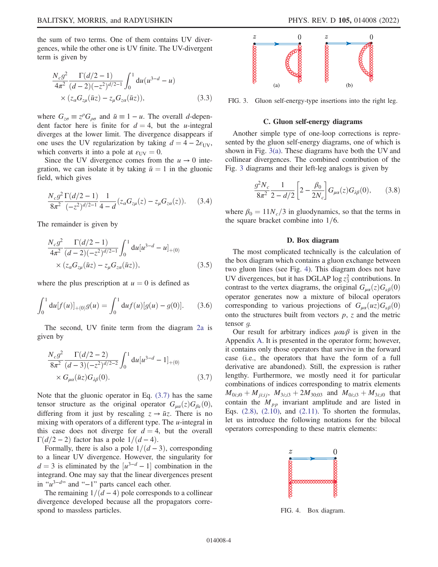the sum of two terms. One of them contains UV divergences, while the other one is UV finite. The UV-divergent term is given by

$$
\frac{N_c g^2}{4\pi^2} \frac{\Gamma(d/2 - 1)}{(d - 2)(-z^2)^{d/2 - 1}} \int_0^1 du (u^{3-d} - u)
$$
  
×  $(z_\alpha G_{z\mu}(\bar{u}z) - z_\mu G_{z\alpha}(\bar{u}z)),$  (3.3)

where  $G_{z\sigma} \equiv z^{\rho} G_{\rho\sigma}$  and  $\bar{u} \equiv 1 - u$ . The overall d-dependent factor here is finite for  $d = 4$ , but the *u*-integral diverges at the lower limit. The divergence disappears if one uses the UV regularization by taking  $d = 4 - 2\varepsilon_{UV}$ , which converts it into a pole at  $\varepsilon_{UV} = 0$ .

Since the UV divergence comes from the  $u \to 0$  integration, we can isolate it by taking  $\bar{u} = 1$  in the gluonic field, which gives

$$
\frac{N_c g^2 \Gamma(d/2 - 1)}{8\pi^2} \frac{1}{(-z^2)^{d/2 - 1}} \frac{1}{4 - d} (z_\alpha G_{z\mu}(z) - z_\mu G_{z\alpha}(z)).
$$
 (3.4)

The remainder is given by

$$
\frac{N_c g^2}{4\pi^2} \frac{\Gamma(d/2-1)}{(d-2)(-z^2)^{d/2-1}} \int_0^1 du [u^{3-d} - u]_{+(0)} \times (z_\alpha G_{z\mu}(\bar{u}z) - z_\mu G_{z\alpha}(\bar{u}z)),
$$
\n(3.5)

where the plus prescription at  $u = 0$  is defined as

$$
\int_0^1 du [f(u)]_{+(0)} g(u) = \int_0^1 du f(u) [g(u) - g(0)]. \quad (3.6)
$$

<span id="page-4-0"></span>The second, UV finite term from the diagram [2a](#page-3-3) is given by

$$
\frac{N_c g^2}{8\pi^2} \frac{\Gamma(d/2-2)}{(d-3)(-z^2)^{d/2-2}} \int_0^1 du [u^{3-d} - 1]_{+(0)} \times G_{\mu\alpha}(\bar{u}z) G_{\lambda\beta}(0). \tag{3.7}
$$

Note that the gluonic operator in Eq. [\(3.7\)](#page-4-0) has the same tensor structure as the original operator  $G_{\mu\alpha}(z)G_{\beta\nu}(0)$ , differing from it just by rescaling  $z \rightarrow \bar{u}z$ . There is no mixing with operators of a different type. The  $u$ -integral in this case does not diverge for  $d = 4$ , but the overall  $\Gamma(d/2 - 2)$  factor has a pole  $1/(d - 4)$ .

Formally, there is also a pole  $1/(d - 3)$ , corresponding to a linear UV divergence. However, the singularity for  $d = 3$  is eliminated by the  $[u^{3-d} - 1]$  combination in the integrand. One may say that the linear divergences present integrand. One may say that the linear divergences present in " $u^{3-d}$ " and "-1" parts cancel each other.

The remaining  $1/(d - 4)$  pole corresponds to a collinear divergence developed because all the propagators correspond to massless particles.

<span id="page-4-1"></span>

FIG. 3. Gluon self-energy-type insertions into the right leg.

#### C. Gluon self-energy diagrams

Another simple type of one-loop corrections is represented by the gluon self-energy diagrams, one of which is shown in Fig. [3\(a\).](#page-4-1) These diagrams have both the UV and collinear divergences. The combined contribution of the Fig. [3](#page-4-1) diagrams and their left-leg analogs is given by

$$
\frac{g^2 N_c}{8\pi^2} \frac{1}{2 - d/2} \left[ 2 - \frac{\beta_0}{2N_c} \right] G_{\mu\alpha}(z) G_{\lambda\beta}(0), \qquad (3.8)
$$

where  $\beta_0 = 11N_c/3$  in gluodynamics, so that the terms in the square bracket combine into  $1/6$ .

#### D. Box diagram

The most complicated technically is the calculation of the box diagram which contains a gluon exchange between two gluon lines (see Fig. [4](#page-4-2)). This diagram does not have UV divergences, but it has DGLAP  $\log z_3^2$  contributions. In contrast to the vertex diagrams, the original  $G_{\mu\alpha}(z)G_{\nu\beta}(0)$ operator generates now a mixture of bilocal operators corresponding to various projections of  $G_{\mu\alpha}(uz)G_{\nu\beta}(0)$ onto the structures built from vectors  $p$ ,  $z$  and the metric tensor g.

Our result for arbitrary indices  $\mu \alpha \nu \beta$  is given in the Appendix [A.](#page-9-0) It is presented in the operator form; however, it contains only those operators that survive in the forward case (i.e., the operators that have the form of a full derivative are abandoned). Still, the expression is rather lengthy. Furthermore, we mostly need it for particular combinations of indices corresponding to matrix elements  $M_{0i;i0} + M_{ji;ij}$ ,  $M_{3i;i3} + 2M_{30;03}$  and  $M_{0i;i3} + M_{3i;i0}$  that contain the  $M_{pp}$  invariant amplitude and are listed in Eqs.  $(2.8)$ ,  $(2.10)$ , and  $(2.11)$ . To shorten the formulas, let us introduce the following notations for the bilocal operators corresponding to these matrix elements:

<span id="page-4-2"></span>

FIG. 4. Box diagram.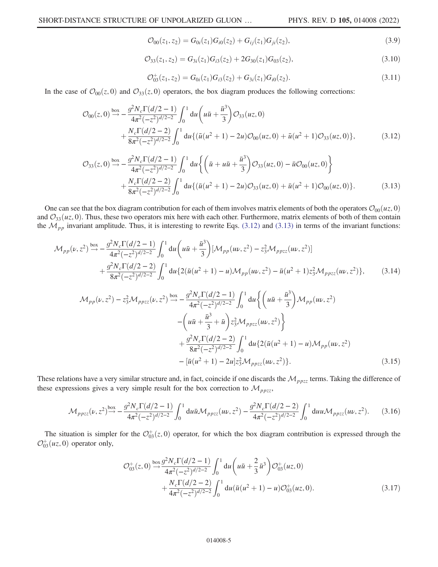$$
\mathcal{O}_{00}(z_1, z_2) = G_{0i}(z_1)G_{i0}(z_2) + G_{ij}(z_1)G_{ji}(z_2), \qquad (3.9)
$$

$$
\mathcal{O}_{33}(z_1, z_2) = G_{3i}(z_1)G_{i3}(z_2) + 2G_{30}(z_1)G_{03}(z_2),\tag{3.10}
$$

$$
\mathcal{O}_{03}^+(z_1, z_2) = G_{0i}(z_1)G_{i3}(z_2) + G_{3i}(z_1)G_{i0}(z_2). \tag{3.11}
$$

<span id="page-5-5"></span><span id="page-5-0"></span>In the case of  $\mathcal{O}_{00}(z, 0)$  and  $\mathcal{O}_{33}(z, 0)$  operators, the box diagram produces the following corrections:

$$
\mathcal{O}_{00}(z,0) \stackrel{\text{box}}{\rightarrow} -\frac{g^2 N_c \Gamma(d/2-1)}{4\pi^2 (-z^2)^{d/2-2}} \int_0^1 du \left( u\bar{u} + \frac{\bar{u}^3}{3} \right) \mathcal{O}_{33}(uz,0) \n+ \frac{N_c \Gamma(d/2-2)}{8\pi^2 (-z^2)^{d/2-2}} \int_0^1 du \left\{ (\bar{u}(u^2+1) - 2u) \mathcal{O}_{00}(uz,0) + \bar{u}(u^2+1) \mathcal{O}_{33}(uz,0) \right\},
$$
\n(3.12)

<span id="page-5-1"></span>
$$
\mathcal{O}_{33}(z,0) \stackrel{\text{box}}{\rightarrow} -\frac{g^2 N_c \Gamma(d/2-1)}{4\pi^2 (-z^2)^{d/2-2}} \int_0^1 du \left\{ \left( \bar{u} + u\bar{u} + \frac{\bar{u}^3}{3} \right) \mathcal{O}_{33}(uz,0) - \bar{u} \mathcal{O}_{00}(uz,0) \right\} + \frac{N_c \Gamma(d/2-2)}{8\pi^2 (-z^2)^{d/2-2}} \int_0^1 du \left\{ (\bar{u}(u^2+1) - 2u) \mathcal{O}_{33}(uz,0) + \bar{u}(u^2+1) \mathcal{O}_{00}(uz,0) \right\}.
$$
 (3.13)

<span id="page-5-2"></span>One can see that the box diagram contribution for each of them involves matrix elements of both the operators  $\mathcal{O}_{00}(uz, 0)$ and  $\mathcal{O}_{33}(uz, 0)$ . Thus, these two operators mix here with each other. Furthermore, matrix elements of both of them contain the  $\mathcal{M}_{pp}$  invariant amplitude. Thus, it is interesting to rewrite Eqs. [\(3.12\)](#page-5-0) and [\(3.13\)](#page-5-1) in terms of the invariant functions:

<span id="page-5-3"></span>
$$
\mathcal{M}_{pp}(\nu, z^2) \stackrel{\text{box}}{\rightarrow} -\frac{g^2 N_c \Gamma(d/2 - 1)}{4\pi^2 (-z^2)^{d/2 - 2}} \int_0^1 du \left( u\bar{u} + \frac{\bar{u}^3}{3} \right) [\mathcal{M}_{pp}(u\nu, z^2) - z_3^2 \mathcal{M}_{ppzz}(u\nu, z^2)] \n+ \frac{g^2 N_c \Gamma(d/2 - 2)}{8\pi^2 (-z^2)^{d/2 - 2}} \int_0^1 du \{ 2(\bar{u}(u^2 + 1) - u) \mathcal{M}_{pp}(u\nu, z^2) - \bar{u}(u^2 + 1) z_3^2 \mathcal{M}_{ppzz}(u\nu, z^2) \},
$$
\n(3.14)  
\n
$$
\mathcal{M}_{pp}(\nu, z^2) - z_3^2 \mathcal{M}_{ppzz}(\nu, z^2) \stackrel{\text{box}}{\rightarrow} -\frac{g^2 N_c \Gamma(d/2 - 1)}{4\pi^2 (-z^2)^{d/2 - 2}} \int_0^1 du \left\{ \left( u\bar{u} + \frac{\bar{u}^3}{3} \right) \mathcal{M}_{pp}(u\nu, z^2) - \left( u\bar{u} + \frac{\bar{u}^3}{3} + \bar{u} \right) z_3^2 \mathcal{M}_{ppzz}(u\nu, z^2) \right\} \n+ \frac{g^2 N_c \Gamma(d/2 - 2)}{8\pi^2 (-z^2)^{d/2 - 2}} \int_0^1 du \{ 2(\bar{u}(u^2 + 1) - u) \mathcal{M}_{pp}(u\nu, z^2) - [\bar{u}(u^2 + 1) - 2u] z_3^2 \mathcal{M}_{ppzz}(u\nu, z^2) \}.
$$
\n(3.15)

These relations have a very similar structure and, in fact, coincide if one discards the  $M_{ppzz}$  terms. Taking the difference of these expressions gives a very simple result for the box correction to  $\mathcal{M}_{ppzz}$ ,

$$
\mathcal{M}_{ppzz}(\nu, z^2) \stackrel{\text{box}}{\rightarrow} -\frac{g^2 N_c \Gamma(d/2 - 1)}{4\pi^2 (-z^2)^{d/2 - 2}} \int_0^1 du \bar{u} \mathcal{M}_{ppzz}(u\nu, z^2) - \frac{g^2 N_c \Gamma(d/2 - 2)}{4\pi^2 (-z^2)^{d/2 - 2}} \int_0^1 du u \mathcal{M}_{ppzz}(u\nu, z^2). \tag{3.16}
$$

<span id="page-5-4"></span>The situation is simpler for the  $\mathcal{O}_{03}^+(z,0)$  operator, for which the box diagram contribution is expressed through the  $f(u,0)$  operator only  $\mathcal{O}_{03}^+(uz,0)$  operator only,

$$
\mathcal{O}_{03}^+(z,0) \stackrel{\text{box}}{\rightarrow} \frac{g^2 N_c \Gamma(d/2-1)}{4\pi^2 (-z^2)^{d/2-2}} \int_0^1 du \left( u\bar{u} + \frac{2}{3} \bar{u}^3 \right) \mathcal{O}_{03}^+(uz,0) + \frac{N_c \Gamma(d/2-2)}{4\pi^2 (-z^2)^{d/2-2}} \int_0^1 du (\bar{u}(u^2+1) - u) \mathcal{O}_{03}^+(uz,0).
$$
 (3.17)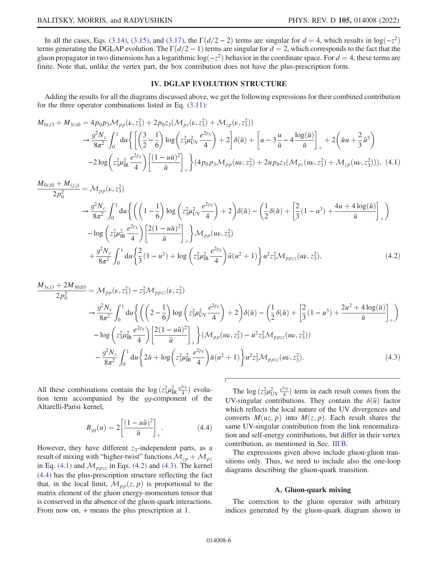In all the cases, Eqs. [\(3.14\)](#page-5-2), [\(3.15\)](#page-5-3), and [\(3.17\)](#page-5-4), the  $\Gamma(d/2-2)$  terms are singular for  $d = 4$ , which results in log $(-z^2)$ terms generating the DGLAP evolution. The  $\Gamma(d/2 - 1)$  terms are singular for  $d = 2$ , which corresponds to the fact that the gluon propagator in two dimensions has a logarithmic log $(-z^2)$  behavior in the coordinate space. For  $d = 4$ , these terms are finite. Note that, unlike the vertex part, the box contribution does not have the plus-prescription form.

## IV. DGLAP EVOLUTION STRUCTURE

<span id="page-6-1"></span><span id="page-6-0"></span>Adding the results for all the diagrams discussed above, we get the following expressions for their combined contribution for the three operator combinations listed in Eq. [\(3.11\):](#page-5-5)

$$
M_{0i; i3} + M_{3i; i0} = 4p_0 p_3 \mathcal{M}_{pp}(\nu, z_3^2) + 2p_0 z_3 (\mathcal{M}_{pz}(\nu, z_3^2) + \mathcal{M}_{zp}(\nu, z_3^2))
$$
  
\n
$$
\rightarrow \frac{g^2 N_c}{8\pi^2} \int_0^1 du \left\{ \left[ \left( \frac{3}{2} - \frac{1}{6} \right) \log \left( z_3^2 \mu_{UV}^2 \frac{e^{2\gamma_E}}{4} \right) + 2 \right] \delta(\bar{u}) + \left[ u - 3 \frac{u}{\bar{u}} - 4 \frac{\log(\bar{u})}{\bar{u}} \right]_+ + 2 \left( \bar{u}u + \frac{2}{3} \bar{u}^3 \right) \right\}
$$
  
\n
$$
-2 \log \left( z_3^2 \mu_{IR}^2 \frac{e^{2\gamma_E}}{4} \right) \left[ \frac{(1 - u\bar{u})^2}{\bar{u}} \right]_+ \right\} (4p_0 p_3 \mathcal{M}_{pp}(u\nu, z_3^2) + 2u p_0 z_3 (\mathcal{M}_{pz}(u\nu, z_3^2) + \mathcal{M}_{zp}(u\nu, z_3^2))), \quad (4.1)
$$

<span id="page-6-2"></span>
$$
\frac{M_{0i;i0} + M_{ij;ji}}{2p_0^2} = \mathcal{M}_{pp}(\nu, z_3^2)
$$
\n
$$
\rightarrow \frac{g^2 N_c}{8\pi^2} \int_0^1 du \left\{ \left( \left( 1 - \frac{1}{6} \right) \log \left( z_3^2 \mu_{UV}^2 \frac{e^{2\gamma_E}}{4} \right) + 2 \right) \delta(\bar{u}) - \left( \frac{1}{2} \delta(\bar{u}) + \left[ \frac{2}{3} (1 - u^3) + \frac{4u + 4 \log(\bar{u})}{\bar{u}} \right]_+ \right) \right\}
$$
\n
$$
- \log \left( z_3^2 \mu_{IR}^2 \frac{e^{2\gamma_E}}{4} \right) \left[ \frac{2(1 - u\bar{u})^2}{\bar{u}} \right]_+ \right\} \mathcal{M}_{pp}(\mu\nu, z_3^2)
$$
\n
$$
+ \frac{g^2 N_c}{8\pi^2} \int_0^1 du \left\{ \frac{2}{3} (1 - u^3) + \log \left( z_3^2 \mu_{IR}^2 \frac{e^{2\gamma_E}}{4} \right) \bar{u} (u^2 + 1) \right\} u^2 z_3^2 \mathcal{M}_{ppzz}(\mu\nu, z_3^2), \tag{4.2}
$$

<span id="page-6-3"></span>
$$
\frac{M_{3i;3} + 2M_{30;03}}{2p_0^2} = \mathcal{M}_{pp}(\nu, z_3^2) - z_3^2 \mathcal{M}_{ppzz}(\nu, z_3^2)
$$
  
\n
$$
\rightarrow \frac{g^2 N_c}{8\pi^2} \int_0^1 du \left\{ \left( \left( 2 - \frac{1}{6} \right) \log \left( z_3^2 \mu_{UV}^2 \frac{e^{2\gamma_E}}{4} \right) + 2 \right) \delta(\bar{u}) - \left( \frac{1}{2} \delta(\bar{u}) + \left[ \frac{2}{3} (1 - u^3) + \frac{2u^2 + 4 \log(\bar{u})}{\bar{u}} \right]_{+} \right) \right\}
$$
  
\n
$$
- \log \left( z_3^2 \mu_{IR}^2 \frac{e^{2\gamma_E}}{4} \right) \left[ \frac{2(1 - u\bar{u})^2}{\bar{u}} \right]_+ \right\} (\mathcal{M}_{pp} (u\nu, z_3^2) - u^2 z_3^2 \mathcal{M}_{ppzz} (u\nu, z_3^2))
$$
  
\n
$$
- \frac{g^2 N_c}{8\pi^2} \int_0^1 du \left\{ 2\bar{u} + \log \left( z_3^2 \mu_{IR}^2 \frac{e^{2\gamma_E}}{4} \right) \bar{u} (u^2 + 1) \right\} u^2 z_3^2 \mathcal{M}_{ppzz} (u\nu, z_3^2).
$$
 (4.3)

<span id="page-6-4"></span>All these combinations contain the  $\log (z_3^2 \mu_{\rm IR}^2 \frac{e^{2\gamma_E}}{4})$  evolution term accompanied by the *go*-component of the tion term accompanied by the gg-component of the Altarelli-Parisi kernel,

$$
B_{gg}(u) = 2 \left[ \frac{(1 - u\bar{u})^2}{\bar{u}} \right]_+.
$$
 (4.4)

However, they have different  $z_3$ -independent parts, as a result of mixing with "higher-twist" functions  $\mathcal{M}_{zp} + \mathcal{M}_{pz}$ in Eq. [\(4.1\)](#page-6-1) and  $\mathcal{M}_{ppzz}$  in Eqs. [\(4.2\)](#page-6-2) and [\(4.3\)](#page-6-3). The kernel [\(4.4\)](#page-6-4) has the plus-prescription structure reflecting the fact that, in the local limit,  $\mathcal{M}_{pp}(z, p)$  is proportional to the matrix element of the gluon energy-momentum tensor that is conserved in the absence of the gluon-quark interactions. From now on, + means the plus prescription at 1.

The log  $(z_3^2 \mu_{UV}^2 \frac{e^{2\gamma_E}}{4})$  term in each result comes from the UV-singular contributions. They contain the  $\delta(\bar{u})$  factor which reflects the local nature of the UV divergences and converts  $M(uz, p)$  into  $M(z, p)$ . Each result shares the same UV-singular contribution from the link renormalization and self-energy contributions, but differ in their vertex contribution, as mentioned in Sec. [III B.](#page-3-5)

The expressions given above include gluon-gluon transitions only. Thus, we need to include also the one-loop diagrams describing the gluon-quark transition.

#### A. Gluon-quark mixing

The correction to the gluon operator with arbitrary indices generated by the gluon-quark diagram shown in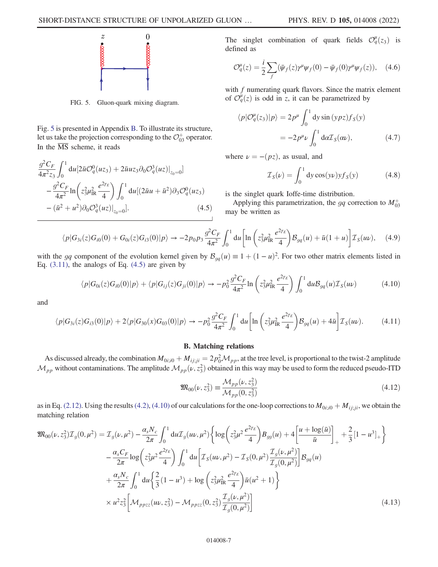<span id="page-7-0"></span>

FIG. 5. Gluon-quark mixing diagram.

<span id="page-7-1"></span>Fig. [5](#page-7-0) is presented in Appendix [B](#page-9-1). To illustrate its structure, let us take the projection corresponding to the  $\mathcal{O}^+_{03}$  operator. In the  $\overline{\text{MS}}$  scheme, it reads

$$
\frac{g^2 C_F}{4\pi^2 z_3} \int_0^1 du \left[ 2\bar{u}\mathcal{O}_q^0(uz_3) + 2\bar{u}u z_3 \partial_0 \mathcal{O}_q^3(uz) \right]_{z_0=0} - \frac{g^2 C_F}{4\pi^2} \ln \left( z_3^2 \mu_{\rm IR}^2 \frac{e^{2\gamma_E}}{4} \right) \int_0^1 du \left[ (2\bar{u}u + \bar{u}^2) \partial_3 \mathcal{O}_q^0(uz_3) - (\bar{u}^2 + u^2) \partial_0 \mathcal{O}_q^3(uz) \right]_{z_0=0} . \tag{4.5}
$$

The singlet combination of quark fields  $\mathcal{O}_q^{\mu}(z_3)$  is defined as defined as

$$
\mathcal{O}_q^{\mu}(z) = \frac{i}{2} \sum_f (\bar{\psi}_f(z) \gamma^{\mu} \psi_f(0) - \bar{\psi}_f(0) \gamma^{\mu} \psi_f(z)), \quad (4.6)
$$

with  $f$  numerating quark flavors. Since the matrix element of  $\mathcal{O}_q^{\mu}(z)$  is odd in z, it can be parametrized by

$$
\langle p|\mathcal{O}_q^{\mu}(z_3)|p\rangle = 2p^{\mu} \int_0^1 dy \sin{(ypz)f_S(y)}
$$
  
=  $-2p^{\mu}\nu \int_0^1 d\alpha \mathcal{I}_S(\alpha \nu),$  (4.7)

where  $\nu = -(pz)$ , as usual, and

$$
\mathcal{I}_S(\nu) = \int_0^1 dy \cos(\nu \nu) y f_S(\nu) \tag{4.8}
$$

is the singlet quark Ioffe-time distribution.

Applying this parametrization, the gq correction to  $M_{03}^+$ may be written as

$$
\langle p|G_{3i}(z)G_{i0}(0) + G_{0i}(z)G_{i3}(0)|p\rangle \to -2p_0p_3\frac{g^2C_F}{4\pi^2} \int_0^1 du \left[ln\left(z_3^2\mu_{\rm IR}^2 \frac{e^{2\gamma_E}}{4}\right) \mathcal{B}_{gq}(u) + \bar{u}(1+u)\right] \mathcal{I}_S(u\nu), \quad (4.9)
$$

<span id="page-7-2"></span>with the gq component of the evolution kernel given by  $\mathcal{B}_{gq}(u) \equiv 1 + (1 - u)^2$ . For two other matrix elements listed in Eq. (3.11) the analogs of Eq. (4.5) are given by Eq.  $(3.11)$ , the analogs of Eq.  $(4.5)$  are given by

$$
\langle p|G_{0i}(z)G_{i0}(0)|p\rangle + \langle p|G_{ij}(z)G_{ji}(0)|p\rangle \to -p_0^2 \frac{g^2 C_F}{4\pi^2} \ln\left(z_3^2 \mu_{\rm IR}^2 \frac{e^{2\gamma_E}}{4}\right) \int_0^1 du \mathcal{B}_{gq}(u) \mathcal{I}_S(u\nu) \tag{4.10}
$$

<span id="page-7-3"></span>and

$$
\langle p|G_{3i}(z)G_{i3}(0)|p\rangle + 2\langle p|G_{30}(x)G_{03}(0)|p\rangle \to -p_0^2 \frac{g^2 C_F}{4\pi^2} \int_0^1 du \left[ \ln\left(z_3^2 \mu_{\rm IR}^2 \frac{e^{2\gamma_E}}{4}\right) \mathcal{B}_{gq}(u) + 4\bar{u}\right] \mathcal{I}_S(u\nu). \tag{4.11}
$$

## B. Matching relations

As discussed already, the combination  $M_{0i;0} + M_{ij;ji} = 2p_0^2 \mathcal{M}_{pp}$ , at the tree level, is proportional to the twist-2 amplitude<br>to without conteminations. The emplitude  $M_{\text{eff}}(u, z^2)$  obtained in this way may be use  $M_{pp}$  without contaminations. The amplitude  $M_{pp}(\nu, z_3^2)$  obtained in this way may be used to form the reduced pseudo-ITD

$$
\mathfrak{M}_{00}(\nu, z_3^2) \equiv \frac{\mathcal{M}_{pp}(\nu, z_3^2)}{\mathcal{M}_{pp}(0, z_3^2)}
$$
(4.12)

<span id="page-7-4"></span>as in Eq. [\(2.12\).](#page-3-2) Using the results [\(4.2\),](#page-6-2) [\(4.10\)](#page-7-2) of our calculations for the one-loop corrections to  $M_{0i;0} + M_{ij;ji}$ , we obtain the matching relation

$$
\mathfrak{M}_{00}(\nu, z_3^2) \mathcal{I}_g(0, \mu^2) = \mathcal{I}_g(\nu, \mu^2) - \frac{\alpha_s N_c}{2\pi} \int_0^1 du \mathcal{I}_g(u\nu, \mu^2) \left\{ \log \left( z_3^2 \mu^2 \frac{e^{2\gamma_E}}{4} \right) B_{gg}(u) + 4 \left[ \frac{u + \log(\bar{u})}{\bar{u}} \right]_+ + \frac{2}{3} [1 - u^3]_+ \right\} \n- \frac{\alpha_s C_F}{2\pi} \log \left( z_3^2 \mu^2 \frac{e^{2\gamma_E}}{4} \right) \int_0^1 du \left[ \mathcal{I}_S(u\nu, \mu^2) - \mathcal{I}_S(0, \mu^2) \frac{\mathcal{I}_g(\nu, \mu^2)}{\mathcal{I}_g(0, \mu^2)} \right] B_{gq}(u) \n+ \frac{\alpha_s N_c}{2\pi} \int_0^1 du \left\{ \frac{2}{3} (1 - u^3) + \log \left( z_3^2 \mu_{\rm IR}^2 \frac{e^{2\gamma_E}}{4} \right) \bar{u}(u^2 + 1) \right\} \n\times u^2 z_3^2 \left[ \mathcal{M}_{ppzz}(u\nu, z_3^2) - \mathcal{M}_{ppzz}(0, z_3^2) \frac{\mathcal{I}_g(\nu, \mu^2)}{\mathcal{I}_g(0, \mu^2)} \right]
$$
\n(4.13)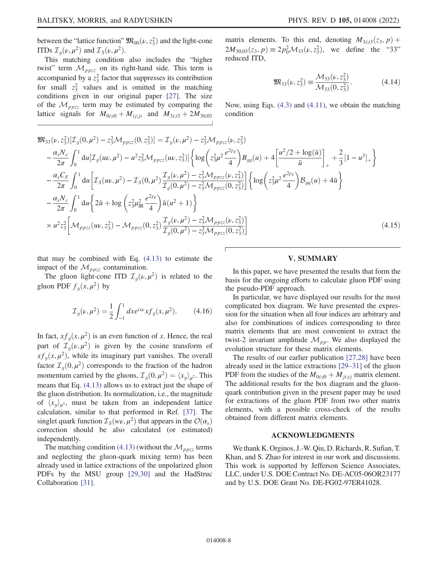between the "lattice function"  $\mathfrak{M}_{00}(\nu, z_3^2)$  and the light-cone<br>
ITDe  $\mathcal{T}(\nu, u^2)$  and  $\mathcal{T}(\nu, u^2)$ ITDs  $\mathcal{I}_g(\nu,\mu^2)$  and  $\mathcal{I}_S(\nu,\mu^2)$ .

This matching condition also includes the "higher twist" term  $\mathcal{M}_{ppzz}$  on its right-hand side. This term is accompanied by a  $z_3^2$  factor that suppresses its contribution for small  $z_3^2$  values and is omitted in the matching conditions given in our original paper [[27](#page-10-19)]. The size of the  $\mathcal{M}_{ppzz}$  term may be estimated by comparing the lattice signals for  $M_{0i; i0} + M_{ij;ji}$  and  $M_{3i; i3} + 2M_{30;03}$  matrix elements. To this end, denoting  $M_{3i;3}(z_3, p)$  +  $2M_{30;03}(z_3, p) \equiv 2p_0^2 \mathcal{M}_{33}(\nu, z_3^2)$ , we define the "33" reduced ITD,

$$
\mathfrak{M}_{33}(\nu, z_3^2) \equiv \frac{\mathcal{M}_{33}(\nu, z_3^2)}{\mathcal{M}_{33}(0, z_3^2)}.
$$
 (4.14)

Now, using Eqs. [\(4.3\)](#page-6-3) and [\(4.11\),](#page-7-3) we obtain the matching condition

$$
\mathfrak{M}_{33}(\nu, z_3^2)[\mathcal{I}_g(0, \mu^2) - z_3^2 \mathcal{M}_{ppzz}(0, z_3^2)] = \mathcal{I}_g(\nu, \mu^2) - z_3^2 \mathcal{M}_{ppzz}(\nu, z_3^2)
$$
\n
$$
- \frac{\alpha_s N_c}{2\pi} \int_0^1 du [\mathcal{I}_g(u\nu, \mu^2) - u^2 z_3^2 \mathcal{M}_{ppzz}(u\nu, z_3^2)] \Big\{ \log \Big( z_3^2 \mu^2 \frac{e^{2\gamma_E}}{4} \Big) B_{gg}(u) + 4 \Big[ \frac{u^2/2 + \log(\bar{u})}{\bar{u}} \Big]_+ + \frac{2}{3} [1 - u^3]_+ \Big\}
$$
\n
$$
- \frac{\alpha_s C_F}{2\pi} \int_0^1 du \Big[ \mathcal{I}_S(u\nu, \mu^2) - \mathcal{I}_S(0, \mu^2) \frac{\mathcal{I}_g(\nu, \mu^2) - z_3^2 \mathcal{M}_{ppzz}(\nu, z_3^2)}{\mathcal{I}_g(0, \mu^2) - z_3^2 \mathcal{M}_{ppzz}(0, z_3^2)} \Big] \Big\{ \log \Big( z_3^2 \mu^2 \frac{e^{2\gamma_E}}{4} \Big) B_{gg}(u) + 4\bar{u} \Big\}
$$
\n
$$
- \frac{\alpha_s N_c}{2\pi} \int_0^1 du \Big\{ 2\bar{u} + \log \Big( z_3^2 \mu_{\rm IR}^2 \frac{e^{2\gamma_E}}{4} \Big) \bar{u}(u^2 + 1) \Big\}
$$
\n
$$
\times u^2 z_3^2 \Big[ \mathcal{M}_{ppzz}(u\nu, z_3^2) - \mathcal{M}_{ppzz}(0, z_3^2) \frac{\mathcal{I}_g(\nu, \mu^2) - z_3^2 \mathcal{M}_{ppzz}(\nu, z_3^2)}{\mathcal{I}_g(0, \mu^2) - z_3^2 \mathcal{M}_{ppzz}(0, z_3^2)} \Big]
$$
\n(4.15)

that may be combined with Eq. [\(4.13\)](#page-7-4) to estimate the impact of the  $\mathcal{M}_{ppzz}$  contamination.

The gluon light-cone ITD  $\mathcal{I}_{q}(\nu,\mu^2)$  is related to the gluon PDF  $f_q(x, \mu^2)$  by

$$
\mathcal{I}_g(\nu,\mu^2) = \frac{1}{2} \int_{-1}^1 dx e^{ix\nu} x f_g(x,\mu^2). \tag{4.16}
$$

In fact,  $xf_g(x, \mu^2)$  is an even function of x. Hence, the real part of  $\mathcal{I}_q(\nu,\mu^2)$  is given by the cosine transform of  $xf_a(x, \mu^2)$ , while its imaginary part vanishes. The overall factor  $\mathcal{I}_q(0, \mu^2)$  corresponds to the fraction of the hadron momentum carried by the gluons,  $\mathcal{I}_q(0, \mu^2) = \langle x_q \rangle_{\mu^2}$ . This means that Eq. [\(4.13\)](#page-7-4) allows us to extract just the shape of the gluon distribution. Its normalization, i.e., the magnitude of  $\langle x_a \rangle_{\mu^2}$ , must be taken from an independent lattice calculation, similar to that performed in Ref. [\[37\]](#page-10-29). The singlet quark function  $\mathcal{I}_{S}(wv, \mu^2)$  that appears in the  $\mathcal{O}(\alpha_s)$ correction should be also calculated (or estimated) independently.

The matching condition [\(4.13\)](#page-7-4) (without the  $\mathcal{M}_{ppzz}$  terms and neglecting the gluon-quark mixing term) has been already used in lattice extractions of the unpolarized gluon PDFs by the MSU group [[29](#page-10-21),[30](#page-10-22)] and the HadStruc Collaboration [\[31\]](#page-10-23).

#### V. SUMMARY

<span id="page-8-0"></span>In this paper, we have presented the results that form the basis for the ongoing efforts to calculate gluon PDF using the pseudo-PDF approach.

In particular, we have displayed our results for the most complicated box diagram. We have presented the expression for the situation when all four indices are arbitrary and also for combinations of indices corresponding to three matrix elements that are most convenient to extract the twist-2 invariant amplitude  $\mathcal{M}_{pp}$ . We also displayed the evolution structure for these matrix elements.

The results of our earlier publication [\[27](#page-10-19)[,28\]](#page-10-20) have been already used in the lattice extractions [[29](#page-10-21)–[31\]](#page-10-23) of the gluon PDF from the studies of the  $M_{0i; i0} + M_{i i i i j}$  matrix element. The additional results for the box diagram and the gluonquark contribution given in the present paper may be used for extractions of the gluon PDF from two other matrix elements, with a possible cross-check of the results obtained from different matrix elements.

#### ACKNOWLEDGMENTS

We thank K. Orginos, J.-W. Qiu, D. Richards, R. Sufian, T. Khan, and S. Zhao for interest in our work and discussions. This work is supported by Jefferson Science Associates, LLC, under U.S. DOE Contract No. DE-AC05-06OR23177 and by U.S. DOE Grant No. DE-FG02-97ER41028.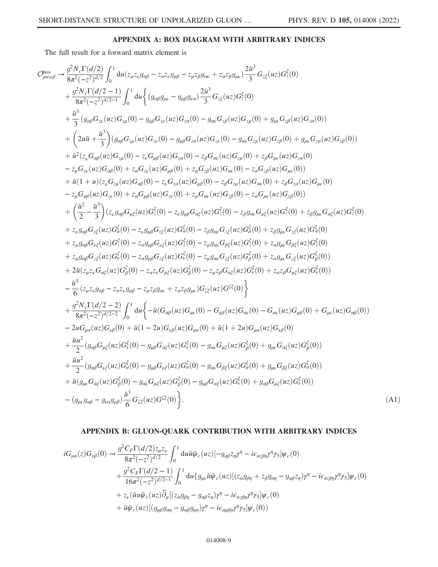## APPENDIX A: BOX DIAGRAM WITH ARBITRARY INDICES

<span id="page-9-0"></span>The full result for a forward matrix element is

$$
\begin{split}\nC_{\mu\alpha\alpha\beta}^{b\alpha\beta} &\rightarrow \frac{g^2 N_c \Gamma(d/2)}{8\pi^2 (-z^2)^{d/2}} \int_0^1 du(z_{\mu}z_{\nu}g_{\alpha\beta} - z_{\alpha}z_{\nu}g_{\mu\nu} - z_{\mu}z_{\beta}g_{\mu\nu} + z_{\alpha}z_{\beta}g_{\mu\nu}) \frac{2\bar{n}^3}{3} G_{z\bar{z}}(uz) G_{z}^{\bar{z}}(0) \\
&+ \frac{g^2 N_c \Gamma(d/2-1)}{8\pi^2 (-z^2)^{d/2-1}} \int_0^1 du \Big\{ (g_{\alpha\beta}g_{\mu\nu} - g_{\mu\beta}g_{\alpha\alpha}) \frac{2\bar{n}^3}{3} G_{z\bar{z}}(uz) G_{z}^{\bar{z}}(0) \\
&+ \frac{\bar{n}^3}{3} (g_{\alpha\beta}G_{z\nu}(uz) G_{z\mu}(0) - g_{\mu\beta}G_{z\nu}(uz) G_{z\mu}(0) - g_{\mu\nu}G_{z\mu}(uz) G_{z\mu}(0) + g_{\mu\nu}G_{z\mu}(uz) G_{z\mu}(0)) \\
&+ \left( 2u\bar{u} + \frac{\bar{n}^3}{3} \right) (g_{\alpha\beta}G_{z\nu}(uz) G_{z\nu}(0) - g_{\mu\beta}G_{z\mu}(uz) G_{z\mu}(0) - g_{\alpha}G_{z\mu}(uz) G_{z\mu}(0) + g_{\mu\nu}G_{z\mu}(uz) G_{z\mu}(0)) \\
&+ \bar{n}^2 (z_{\nu}G_{\alpha\beta}(uz) G_{\alpha\beta}(0) + z_{\mu}G_{\mu\alpha}(uz) G_{z\mu}(0) - z_{\mu}G_{\alpha\mu}(uz) G_{z\mu}(0) + z_{\mu}G_{\mu\nu}(uz) G_{z\mu}(0)) \\
&+ \bar{n}^2 (z_{\nu}G_{\alpha\beta}(uz) G_{\alpha\beta}(0) + z_{\nu}G_{\mu\beta}(uz) G_{\alpha\alpha}(0) + z_{\mu}G_{\alpha\mu}(uz) G_{\alpha\mu}(0) - z_{\mu}G_{\mu\nu}(uz) G_{\alpha\alpha}(0)) \\
&+ \bar{n}^2 (x_{\nu}U, \bar{n}^2) (z
$$

## APPENDIX B: GLUON-QUARK CONTRIBUTION WITH ARBITRARY INDICES

<span id="page-9-1"></span>
$$
iG_{\mu\alpha}(z)G_{\nu\beta}(0) \rightarrow \frac{g^2 C_F \Gamma(d/2)z_{\mu}z_{\nu}}{8\pi^2(-z^2)^{d/2}} \int_0^1 du \bar{u}\bar{\psi}_c(uz) [-g_{\alpha\beta}z_{\eta}\gamma^{\eta} - i\epsilon_{\alpha z\beta\eta}\gamma^{\eta}\gamma_5]\psi_c(0)
$$
  
+ 
$$
\frac{g^2 C_F \Gamma(d/2-1)}{16\pi^2(-z^2)^{d/2-1}} \int_0^1 du \{g_{\mu\nu}\bar{u}\bar{\psi}_c(uz) [ (z_{\alpha}g_{\beta\eta} + z_{\beta}g_{\alpha\eta} - g_{\alpha\beta}z_{\eta})\gamma^{\eta} - i\epsilon_{\alpha z\beta\eta}\gamma^{\eta}\gamma_5]\psi_c(0)
$$
  
+ 
$$
z_{\nu}(\bar{u}u\bar{\psi}_c(uz)\bar{\partial}_{\mu} [(z_{\alpha}g_{\beta\eta} - g_{\alpha\beta}z_{\eta})\gamma^{\eta} - i\epsilon_{\alpha z\beta\eta}\gamma^{\eta}\gamma_5]\psi_c(0)
$$
  
+ 
$$
\bar{u}\bar{\psi}_c(uz) [(g_{\mu\beta}g_{\alpha\eta} - g_{\alpha\beta}g_{\mu\eta})\gamma^{\eta} - i\epsilon_{\alpha\mu\beta\eta}\gamma^{\eta}\gamma_5]\psi_c(0))
$$